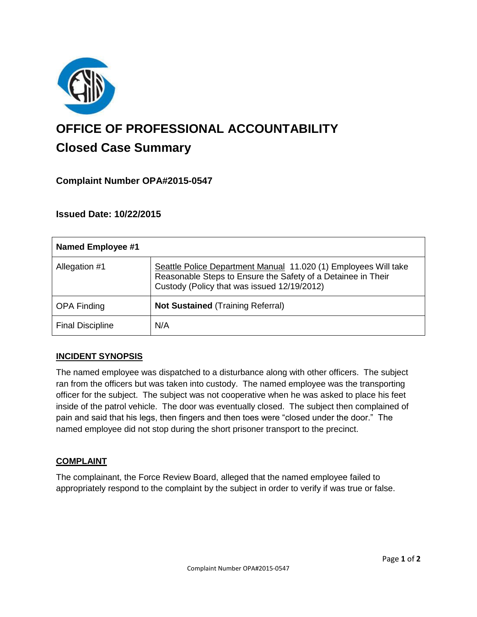

# **OFFICE OF PROFESSIONAL ACCOUNTABILITY Closed Case Summary**

# **Complaint Number OPA#2015-0547**

## **Issued Date: 10/22/2015**

| Named Employee #1       |                                                                                                                                                                                |
|-------------------------|--------------------------------------------------------------------------------------------------------------------------------------------------------------------------------|
| Allegation #1           | Seattle Police Department Manual 11.020 (1) Employees Will take<br>Reasonable Steps to Ensure the Safety of a Detainee in Their<br>Custody (Policy that was issued 12/19/2012) |
| <b>OPA Finding</b>      | <b>Not Sustained (Training Referral)</b>                                                                                                                                       |
| <b>Final Discipline</b> | N/A                                                                                                                                                                            |

### **INCIDENT SYNOPSIS**

The named employee was dispatched to a disturbance along with other officers. The subject ran from the officers but was taken into custody. The named employee was the transporting officer for the subject. The subject was not cooperative when he was asked to place his feet inside of the patrol vehicle. The door was eventually closed. The subject then complained of pain and said that his legs, then fingers and then toes were "closed under the door." The named employee did not stop during the short prisoner transport to the precinct.

#### **COMPLAINT**

The complainant, the Force Review Board, alleged that the named employee failed to appropriately respond to the complaint by the subject in order to verify if was true or false.